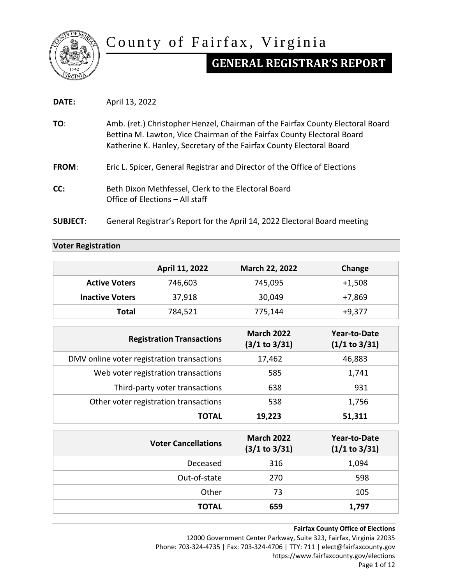

# County of Fairfax, Virginia

# **GENERAL REGISTRAR'S REPORT**

| DATE:           | April 13, 2022                                                                                                                                                                                                                   |  |  |
|-----------------|----------------------------------------------------------------------------------------------------------------------------------------------------------------------------------------------------------------------------------|--|--|
| TO:             | Amb. (ret.) Christopher Henzel, Chairman of the Fairfax County Electoral Board<br>Bettina M. Lawton, Vice Chairman of the Fairfax County Electoral Board<br>Katherine K. Hanley, Secretary of the Fairfax County Electoral Board |  |  |
| <b>FROM:</b>    | Eric L. Spicer, General Registrar and Director of the Office of Elections                                                                                                                                                        |  |  |
| CC:             | Beth Dixon Methfessel, Clerk to the Electoral Board<br>Office of Elections – All staff                                                                                                                                           |  |  |
| <b>SUBJECT:</b> | General Registrar's Report for the April 14, 2022 Electoral Board meeting                                                                                                                                                        |  |  |

# **Voter Registration**

|                                            | April 11, 2022                        | March 22, 2022                     | Change                               |
|--------------------------------------------|---------------------------------------|------------------------------------|--------------------------------------|
| <b>Active Voters</b>                       | 746,603                               | 745,095                            | $+1,508$                             |
| <b>Inactive Voters</b>                     | 37,918                                | 30,049                             | $+7,869$                             |
| <b>Total</b>                               | 784,521                               | 775,144                            | $+9,377$                             |
| <b>Registration Transactions</b>           |                                       | <b>March 2022</b><br>(3/1 to 3/31) | <b>Year-to-Date</b><br>(1/1 to 3/31) |
| DMV online voter registration transactions |                                       | 17,462                             | 46,883                               |
|                                            | Web voter registration transactions   | 585                                | 1,741                                |
|                                            | Third-party voter transactions        | 638                                | 931                                  |
|                                            | Other voter registration transactions | 538                                | 1,756                                |
|                                            | <b>TOTAL</b>                          | 19,223                             | 51,311                               |
|                                            | <b>Voter Cancellations</b>            | <b>March 2022</b><br>(3/1 to 3/31) | <b>Year-to-Date</b><br>(1/1 to 3/31) |
|                                            | Deceased                              | 316                                | 1,094                                |
|                                            | Out-of-state                          | 270                                | 598                                  |
|                                            | Other                                 | 73                                 | 105                                  |
|                                            | <b>TOTAL</b>                          | 659                                | 1,797                                |

#### **Fairfax County Office of Elections**

12000 Government Center Parkway, Suite 323, Fairfax, Virginia 22035 Phone: 703-324-4735 | Fax: 703-324-4706 | TTY: 711 | elect@fairfaxcounty.gov https://www.fairfaxcounty.gov/elections Page 1 of 12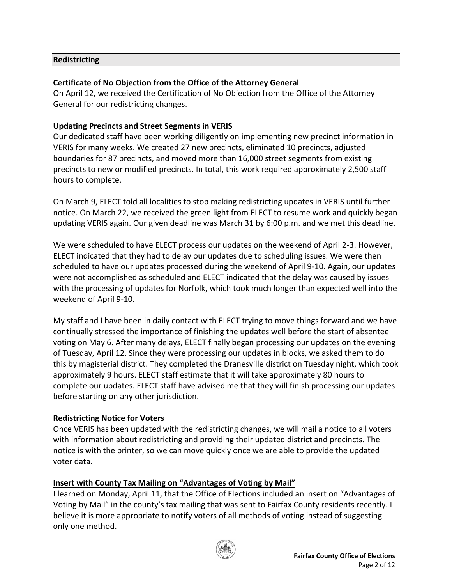## **Redistricting**

## **Certificate of No Objection from the Office of the Attorney General**

On April 12, we received the Certification of No Objection from the Office of the Attorney General for our redistricting changes.

## **Updating Precincts and Street Segments in VERIS**

Our dedicated staff have been working diligently on implementing new precinct information in VERIS for many weeks. We created 27 new precincts, eliminated 10 precincts, adjusted boundaries for 87 precincts, and moved more than 16,000 street segments from existing precincts to new or modified precincts. In total, this work required approximately 2,500 staff hours to complete.

On March 9, ELECT told all localities to stop making redistricting updates in VERIS until further notice. On March 22, we received the green light from ELECT to resume work and quickly began updating VERIS again. Our given deadline was March 31 by 6:00 p.m. and we met this deadline.

We were scheduled to have ELECT process our updates on the weekend of April 2-3. However, ELECT indicated that they had to delay our updates due to scheduling issues. We were then scheduled to have our updates processed during the weekend of April 9-10. Again, our updates were not accomplished as scheduled and ELECT indicated that the delay was caused by issues with the processing of updates for Norfolk, which took much longer than expected well into the weekend of April 9-10.

My staff and I have been in daily contact with ELECT trying to move things forward and we have continually stressed the importance of finishing the updates well before the start of absentee voting on May 6. After many delays, ELECT finally began processing our updates on the evening of Tuesday, April 12. Since they were processing our updates in blocks, we asked them to do this by magisterial district. They completed the Dranesville district on Tuesday night, which took approximately 9 hours. ELECT staff estimate that it will take approximately 80 hours to complete our updates. ELECT staff have advised me that they will finish processing our updates before starting on any other jurisdiction.

# **Redistricting Notice for Voters**

Once VERIS has been updated with the redistricting changes, we will mail a notice to all voters with information about redistricting and providing their updated district and precincts. The notice is with the printer, so we can move quickly once we are able to provide the updated voter data.

# **Insert with County Tax Mailing on "Advantages of Voting by Mail"**

I learned on Monday, April 11, that the Office of Elections included an insert on "Advantages of Voting by Mail" in the county's tax mailing that was sent to Fairfax County residents recently. I believe it is more appropriate to notify voters of all methods of voting instead of suggesting only one method.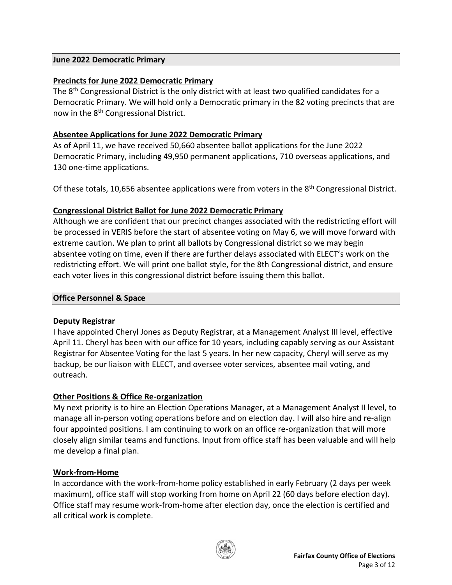#### **June 2022 Democratic Primary**

## **Precincts for June 2022 Democratic Primary**

The 8<sup>th</sup> Congressional District is the only district with at least two qualified candidates for a Democratic Primary. We will hold only a Democratic primary in the 82 voting precincts that are now in the 8<sup>th</sup> Congressional District.

#### **Absentee Applications for June 2022 Democratic Primary**

As of April 11, we have received 50,660 absentee ballot applications for the June 2022 Democratic Primary, including 49,950 permanent applications, 710 overseas applications, and 130 one-time applications.

Of these totals, 10,656 absentee applications were from voters in the  $8<sup>th</sup>$  Congressional District.

## **Congressional District Ballot for June 2022 Democratic Primary**

Although we are confident that our precinct changes associated with the redistricting effort will be processed in VERIS before the start of absentee voting on May 6, we will move forward with extreme caution. We plan to print all ballots by Congressional district so we may begin absentee voting on time, even if there are further delays associated with ELECT's work on the redistricting effort. We will print one ballot style, for the 8th Congressional district, and ensure each voter lives in this congressional district before issuing them this ballot.

#### **Office Personnel & Space**

## **Deputy Registrar**

I have appointed Cheryl Jones as Deputy Registrar, at a Management Analyst III level, effective April 11. Cheryl has been with our office for 10 years, including capably serving as our Assistant Registrar for Absentee Voting for the last 5 years. In her new capacity, Cheryl will serve as my backup, be our liaison with ELECT, and oversee voter services, absentee mail voting, and outreach.

## **Other Positions & Office Re-organization**

My next priority is to hire an Election Operations Manager, at a Management Analyst II level, to manage all in-person voting operations before and on election day. I will also hire and re-align four appointed positions. I am continuing to work on an office re-organization that will more closely align similar teams and functions. Input from office staff has been valuable and will help me develop a final plan.

## **Work-from-Home**

In accordance with the work-from-home policy established in early February (2 days per week maximum), office staff will stop working from home on April 22 (60 days before election day). Office staff may resume work-from-home after election day, once the election is certified and all critical work is complete.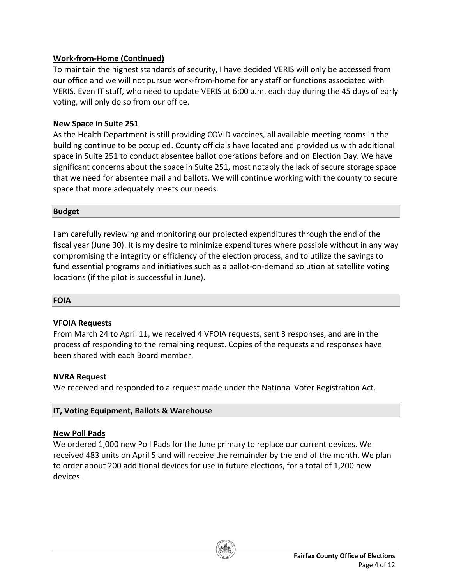## **Work-from-Home (Continued)**

To maintain the highest standards of security, I have decided VERIS will only be accessed from our office and we will not pursue work-from-home for any staff or functions associated with VERIS. Even IT staff, who need to update VERIS at 6:00 a.m. each day during the 45 days of early voting, will only do so from our office.

## **New Space in Suite 251**

As the Health Department is still providing COVID vaccines, all available meeting rooms in the building continue to be occupied. County officials have located and provided us with additional space in Suite 251 to conduct absentee ballot operations before and on Election Day. We have significant concerns about the space in Suite 251, most notably the lack of secure storage space that we need for absentee mail and ballots. We will continue working with the county to secure space that more adequately meets our needs.

#### **Budget**

I am carefully reviewing and monitoring our projected expenditures through the end of the fiscal year (June 30). It is my desire to minimize expenditures where possible without in any way compromising the integrity or efficiency of the election process, and to utilize the savings to fund essential programs and initiatives such as a ballot-on-demand solution at satellite voting locations (if the pilot is successful in June).

#### **FOIA**

## **VFOIA Requests**

From March 24 to April 11, we received 4 VFOIA requests, sent 3 responses, and are in the process of responding to the remaining request. Copies of the requests and responses have been shared with each Board member.

## **NVRA Request**

We received and responded to a request made under the National Voter Registration Act.

## **IT, Voting Equipment, Ballots & Warehouse**

#### **New Poll Pads**

We ordered 1,000 new Poll Pads for the June primary to replace our current devices. We received 483 units on April 5 and will receive the remainder by the end of the month. We plan to order about 200 additional devices for use in future elections, for a total of 1,200 new devices.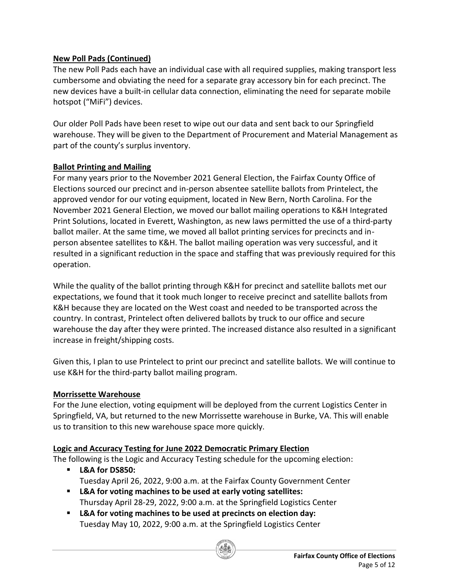# **New Poll Pads (Continued)**

The new Poll Pads each have an individual case with all required supplies, making transport less cumbersome and obviating the need for a separate gray accessory bin for each precinct. The new devices have a built-in cellular data connection, eliminating the need for separate mobile hotspot ("MiFi") devices.

Our older Poll Pads have been reset to wipe out our data and sent back to our Springfield warehouse. They will be given to the Department of Procurement and Material Management as part of the county's surplus inventory.

## **Ballot Printing and Mailing**

For many years prior to the November 2021 General Election, the Fairfax County Office of Elections sourced our precinct and in-person absentee satellite ballots from Printelect, the approved vendor for our voting equipment, located in New Bern, North Carolina. For the November 2021 General Election, we moved our ballot mailing operations to K&H Integrated Print Solutions, located in Everett, Washington, as new laws permitted the use of a third-party ballot mailer. At the same time, we moved all ballot printing services for precincts and inperson absentee satellites to K&H. The ballot mailing operation was very successful, and it resulted in a significant reduction in the space and staffing that was previously required for this operation.

While the quality of the ballot printing through K&H for precinct and satellite ballots met our expectations, we found that it took much longer to receive precinct and satellite ballots from K&H because they are located on the West coast and needed to be transported across the country. In contrast, Printelect often delivered ballots by truck to our office and secure warehouse the day after they were printed. The increased distance also resulted in a significant increase in freight/shipping costs.

Given this, I plan to use Printelect to print our precinct and satellite ballots. We will continue to use K&H for the third-party ballot mailing program.

## **Morrissette Warehouse**

For the June election, voting equipment will be deployed from the current Logistics Center in Springfield, VA, but returned to the new Morrissette warehouse in Burke, VA. This will enable us to transition to this new warehouse space more quickly.

## **Logic and Accuracy Testing for June 2022 Democratic Primary Election**

The following is the Logic and Accuracy Testing schedule for the upcoming election:

- **L&A for DS850:** Tuesday April 26, 2022, 9:00 a.m. at the Fairfax County Government Center
- **L&A for voting machines to be used at early voting satellites:** Thursday April 28-29, 2022, 9:00 a.m. at the Springfield Logistics Center
- **L&A for voting machines to be used at precincts on election day:** Tuesday May 10, 2022, 9:00 a.m. at the Springfield Logistics Center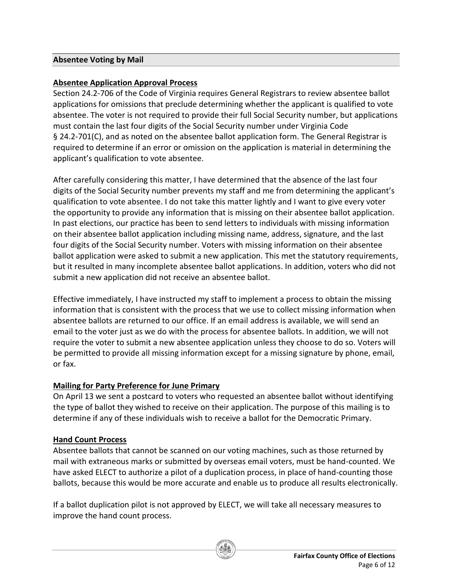#### **Absentee Voting by Mail**

## **Absentee Application Approval Process**

Section 24.2-706 of the Code of Virginia requires General Registrars to review absentee ballot applications for omissions that preclude determining whether the applicant is qualified to vote absentee. The voter is not required to provide their full Social Security number, but applications must contain the last four digits of the Social Security number under Virginia Code § 24.2-701(C), and as noted on the absentee ballot application form. The General Registrar is required to determine if an error or omission on the application is material in determining the applicant's qualification to vote absentee.

After carefully considering this matter, I have determined that the absence of the last four digits of the Social Security number prevents my staff and me from determining the applicant's qualification to vote absentee. I do not take this matter lightly and I want to give every voter the opportunity to provide any information that is missing on their absentee ballot application. In past elections, our practice has been to send letters to individuals with missing information on their absentee ballot application including missing name, address, signature, and the last four digits of the Social Security number. Voters with missing information on their absentee ballot application were asked to submit a new application. This met the statutory requirements, but it resulted in many incomplete absentee ballot applications. In addition, voters who did not submit a new application did not receive an absentee ballot.

Effective immediately, I have instructed my staff to implement a process to obtain the missing information that is consistent with the process that we use to collect missing information when absentee ballots are returned to our office. If an email address is available, we will send an email to the voter just as we do with the process for absentee ballots. In addition, we will not require the voter to submit a new absentee application unless they choose to do so. Voters will be permitted to provide all missing information except for a missing signature by phone, email, or fax.

## **Mailing for Party Preference for June Primary**

On April 13 we sent a postcard to voters who requested an absentee ballot without identifying the type of ballot they wished to receive on their application. The purpose of this mailing is to determine if any of these individuals wish to receive a ballot for the Democratic Primary.

## **Hand Count Process**

Absentee ballots that cannot be scanned on our voting machines, such as those returned by mail with extraneous marks or submitted by overseas email voters, must be hand-counted. We have asked ELECT to authorize a pilot of a duplication process, in place of hand-counting those ballots, because this would be more accurate and enable us to produce all results electronically.

If a ballot duplication pilot is not approved by ELECT, we will take all necessary measures to improve the hand count process.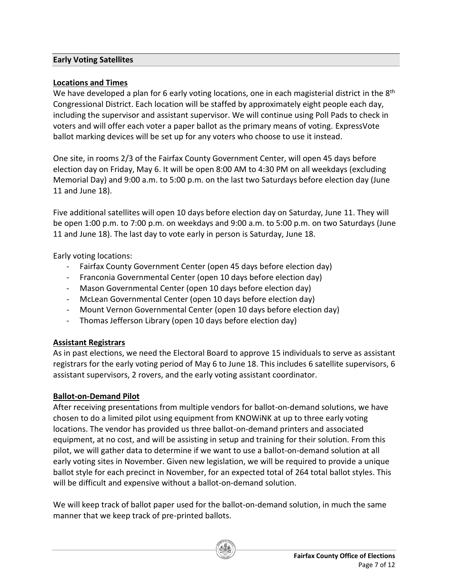#### **Early Voting Satellites**

#### **Locations and Times**

We have developed a plan for 6 early voting locations, one in each magisterial district in the 8<sup>th</sup> Congressional District. Each location will be staffed by approximately eight people each day, including the supervisor and assistant supervisor. We will continue using Poll Pads to check in voters and will offer each voter a paper ballot as the primary means of voting. ExpressVote ballot marking devices will be set up for any voters who choose to use it instead.

One site, in rooms 2/3 of the Fairfax County Government Center, will open 45 days before election day on Friday, May 6. It will be open 8:00 AM to 4:30 PM on all weekdays (excluding Memorial Day) and 9:00 a.m. to 5:00 p.m. on the last two Saturdays before election day (June 11 and June 18).

Five additional satellites will open 10 days before election day on Saturday, June 11. They will be open 1:00 p.m. to 7:00 p.m. on weekdays and 9:00 a.m. to 5:00 p.m. on two Saturdays (June 11 and June 18). The last day to vote early in person is Saturday, June 18.

Early voting locations:

- Fairfax County Government Center (open 45 days before election day)
- Franconia Governmental Center (open 10 days before election day)
- Mason Governmental Center (open 10 days before election day)
- McLean Governmental Center (open 10 days before election day)
- Mount Vernon Governmental Center (open 10 days before election day)
- Thomas Jefferson Library (open 10 days before election day)

## **Assistant Registrars**

As in past elections, we need the Electoral Board to approve 15 individuals to serve as assistant registrars for the early voting period of May 6 to June 18. This includes 6 satellite supervisors, 6 assistant supervisors, 2 rovers, and the early voting assistant coordinator.

## **Ballot-on-Demand Pilot**

After receiving presentations from multiple vendors for ballot-on-demand solutions, we have chosen to do a limited pilot using equipment from KNOWiNK at up to three early voting locations. The vendor has provided us three ballot-on-demand printers and associated equipment, at no cost, and will be assisting in setup and training for their solution. From this pilot, we will gather data to determine if we want to use a ballot-on-demand solution at all early voting sites in November. Given new legislation, we will be required to provide a unique ballot style for each precinct in November, for an expected total of 264 total ballot styles. This will be difficult and expensive without a ballot-on-demand solution.

We will keep track of ballot paper used for the ballot-on-demand solution, in much the same manner that we keep track of pre-printed ballots.

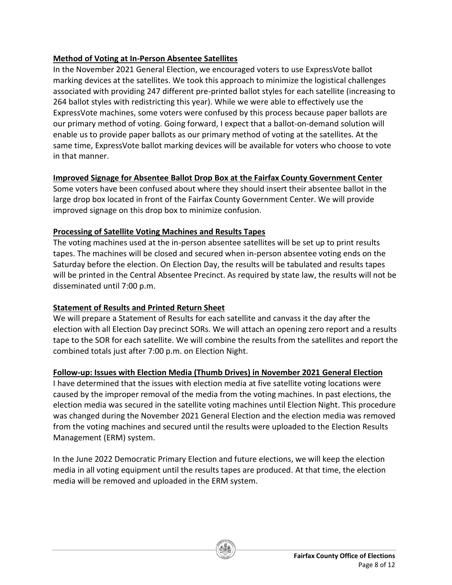# **Method of Voting at In-Person Absentee Satellites**

In the November 2021 General Election, we encouraged voters to use ExpressVote ballot marking devices at the satellites. We took this approach to minimize the logistical challenges associated with providing 247 different pre-printed ballot styles for each satellite (increasing to 264 ballot styles with redistricting this year). While we were able to effectively use the ExpressVote machines, some voters were confused by this process because paper ballots are our primary method of voting. Going forward, I expect that a ballot-on-demand solution will enable us to provide paper ballots as our primary method of voting at the satellites. At the same time, ExpressVote ballot marking devices will be available for voters who choose to vote in that manner.

# **Improved Signage for Absentee Ballot Drop Box at the Fairfax County Government Center**

Some voters have been confused about where they should insert their absentee ballot in the large drop box located in front of the Fairfax County Government Center. We will provide improved signage on this drop box to minimize confusion.

# **Processing of Satellite Voting Machines and Results Tapes**

The voting machines used at the in-person absentee satellites will be set up to print results tapes. The machines will be closed and secured when in-person absentee voting ends on the Saturday before the election. On Election Day, the results will be tabulated and results tapes will be printed in the Central Absentee Precinct. As required by state law, the results will not be disseminated until 7:00 p.m.

# **Statement of Results and Printed Return Sheet**

We will prepare a Statement of Results for each satellite and canvass it the day after the election with all Election Day precinct SORs. We will attach an opening zero report and a results tape to the SOR for each satellite. We will combine the results from the satellites and report the combined totals just after 7:00 p.m. on Election Night.

# **Follow-up: Issues with Election Media (Thumb Drives) in November 2021 General Election**

I have determined that the issues with election media at five satellite voting locations were caused by the improper removal of the media from the voting machines. In past elections, the election media was secured in the satellite voting machines until Election Night. This procedure was changed during the November 2021 General Election and the election media was removed from the voting machines and secured until the results were uploaded to the Election Results Management (ERM) system.

In the June 2022 Democratic Primary Election and future elections, we will keep the election media in all voting equipment until the results tapes are produced. At that time, the election media will be removed and uploaded in the ERM system.

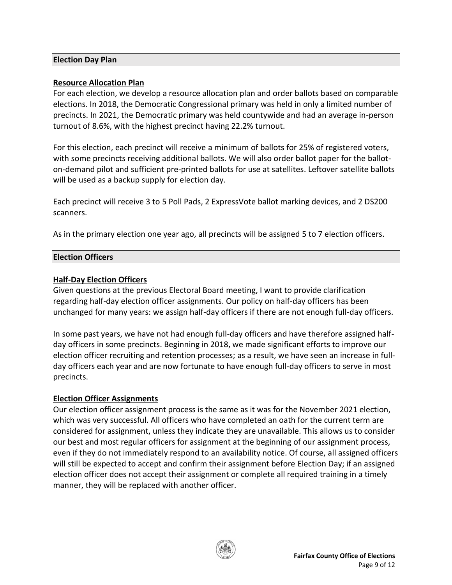#### **Election Day Plan**

#### **Resource Allocation Plan**

For each election, we develop a resource allocation plan and order ballots based on comparable elections. In 2018, the Democratic Congressional primary was held in only a limited number of precincts. In 2021, the Democratic primary was held countywide and had an average in-person turnout of 8.6%, with the highest precinct having 22.2% turnout.

For this election, each precinct will receive a minimum of ballots for 25% of registered voters, with some precincts receiving additional ballots. We will also order ballot paper for the balloton-demand pilot and sufficient pre-printed ballots for use at satellites. Leftover satellite ballots will be used as a backup supply for election day.

Each precinct will receive 3 to 5 Poll Pads, 2 ExpressVote ballot marking devices, and 2 DS200 scanners.

As in the primary election one year ago, all precincts will be assigned 5 to 7 election officers.

#### **Election Officers**

#### **Half-Day Election Officers**

Given questions at the previous Electoral Board meeting, I want to provide clarification regarding half-day election officer assignments. Our policy on half-day officers has been unchanged for many years: we assign half-day officers if there are not enough full-day officers.

In some past years, we have not had enough full-day officers and have therefore assigned halfday officers in some precincts. Beginning in 2018, we made significant efforts to improve our election officer recruiting and retention processes; as a result, we have seen an increase in fullday officers each year and are now fortunate to have enough full-day officers to serve in most precincts.

#### **Election Officer Assignments**

Our election officer assignment process is the same as it was for the November 2021 election, which was very successful. All officers who have completed an oath for the current term are considered for assignment, unless they indicate they are unavailable. This allows us to consider our best and most regular officers for assignment at the beginning of our assignment process, even if they do not immediately respond to an availability notice. Of course, all assigned officers will still be expected to accept and confirm their assignment before Election Day; if an assigned election officer does not accept their assignment or complete all required training in a timely manner, they will be replaced with another officer.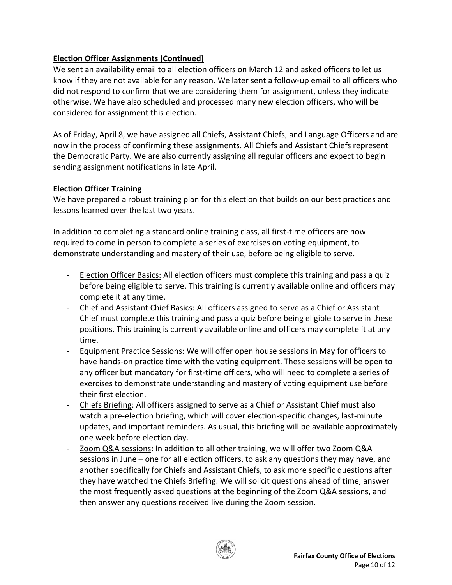# **Election Officer Assignments (Continued)**

We sent an availability email to all election officers on March 12 and asked officers to let us know if they are not available for any reason. We later sent a follow-up email to all officers who did not respond to confirm that we are considering them for assignment, unless they indicate otherwise. We have also scheduled and processed many new election officers, who will be considered for assignment this election.

As of Friday, April 8, we have assigned all Chiefs, Assistant Chiefs, and Language Officers and are now in the process of confirming these assignments. All Chiefs and Assistant Chiefs represent the Democratic Party. We are also currently assigning all regular officers and expect to begin sending assignment notifications in late April.

## **Election Officer Training**

We have prepared a robust training plan for this election that builds on our best practices and lessons learned over the last two years.

In addition to completing a standard online training class, all first-time officers are now required to come in person to complete a series of exercises on voting equipment, to demonstrate understanding and mastery of their use, before being eligible to serve.

- Election Officer Basics: All election officers must complete this training and pass a quiz before being eligible to serve. This training is currently available online and officers may complete it at any time.
- Chief and Assistant Chief Basics: All officers assigned to serve as a Chief or Assistant Chief must complete this training and pass a quiz before being eligible to serve in these positions. This training is currently available online and officers may complete it at any time.
- Equipment Practice Sessions: We will offer open house sessions in May for officers to have hands-on practice time with the voting equipment. These sessions will be open to any officer but mandatory for first-time officers, who will need to complete a series of exercises to demonstrate understanding and mastery of voting equipment use before their first election.
- Chiefs Briefing: All officers assigned to serve as a Chief or Assistant Chief must also watch a pre-election briefing, which will cover election-specific changes, last-minute updates, and important reminders. As usual, this briefing will be available approximately one week before election day.
- Zoom Q&A sessions: In addition to all other training, we will offer two Zoom Q&A sessions in June – one for all election officers, to ask any questions they may have, and another specifically for Chiefs and Assistant Chiefs, to ask more specific questions after they have watched the Chiefs Briefing. We will solicit questions ahead of time, answer the most frequently asked questions at the beginning of the Zoom Q&A sessions, and then answer any questions received live during the Zoom session.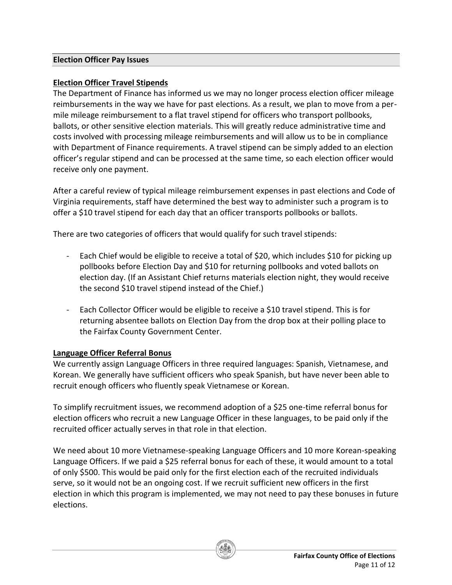#### **Election Officer Pay Issues**

## **Election Officer Travel Stipends**

The Department of Finance has informed us we may no longer process election officer mileage reimbursements in the way we have for past elections. As a result, we plan to move from a permile mileage reimbursement to a flat travel stipend for officers who transport pollbooks, ballots, or other sensitive election materials. This will greatly reduce administrative time and costs involved with processing mileage reimbursements and will allow us to be in compliance with Department of Finance requirements. A travel stipend can be simply added to an election officer's regular stipend and can be processed at the same time, so each election officer would receive only one payment.

After a careful review of typical mileage reimbursement expenses in past elections and Code of Virginia requirements, staff have determined the best way to administer such a program is to offer a \$10 travel stipend for each day that an officer transports pollbooks or ballots.

There are two categories of officers that would qualify for such travel stipends:

- Each Chief would be eligible to receive a total of \$20, which includes \$10 for picking up pollbooks before Election Day and \$10 for returning pollbooks and voted ballots on election day. (If an Assistant Chief returns materials election night, they would receive the second \$10 travel stipend instead of the Chief.)
- Each Collector Officer would be eligible to receive a \$10 travel stipend. This is for returning absentee ballots on Election Day from the drop box at their polling place to the Fairfax County Government Center.

## **Language Officer Referral Bonus**

We currently assign Language Officers in three required languages: Spanish, Vietnamese, and Korean. We generally have sufficient officers who speak Spanish, but have never been able to recruit enough officers who fluently speak Vietnamese or Korean.

To simplify recruitment issues, we recommend adoption of a \$25 one-time referral bonus for election officers who recruit a new Language Officer in these languages, to be paid only if the recruited officer actually serves in that role in that election.

We need about 10 more Vietnamese-speaking Language Officers and 10 more Korean-speaking Language Officers. If we paid a \$25 referral bonus for each of these, it would amount to a total of only \$500. This would be paid only for the first election each of the recruited individuals serve, so it would not be an ongoing cost. If we recruit sufficient new officers in the first election in which this program is implemented, we may not need to pay these bonuses in future elections.